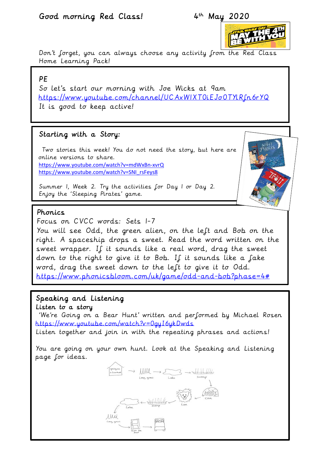### Good morning Red Class! 4

# 4<sup>th</sup> May 2020



Don't forget, you can always choose any activity from the Red Class Home Learning Pack!

### PE

So let's start our morning with Joe Wicks at 9am <https://www.youtube.com/channel/UCAxW1XT0iEJo0TYlRfn6rYQ> It is good to keep active!

### Starting with a Story:

Two stories this week! You do not need the story, but here are online versions to share. <https://www.youtube.com/watch?v=mdWxBn-xvrQ> [https://www.youtube.com/watch?v=SNI\\_rsFeys8](https://www.youtube.com/watch?v=SNI_rsFeys8)

Summer 1, Week 2. Try the activities for Day 1 or Day 2. Enjoy the 'Sleeping Pirates' game.



Focus on CVCC words: Sets 1-7 You will see Odd, the green alien, on the left and Bob on the right. A spaceship drops a sweet. Read the word written on the sweet wrapper. If it sounds like a real word, drag the sweet down to the right to give it to Bob. If it sounds like a fake word, drag the sweet down to the left to give it to Odd. [https://www.phonicsbloom.com/uk/game/odd-and-bob?phase=4#](https://www.phonicsbloom.com/uk/game/odd-and-bob?phase=4) 

#### Speaking and Listening Listen to a story

'We're Going on a Bear Hunt' written and performed by Michael Rosen <https://www.youtube.com/watch?v=0gyI6ykDwds> Listen together and join in with the repeating phrases and actions!

You are going on your own hunt. Look at the Speaking and Listening page for ideas.